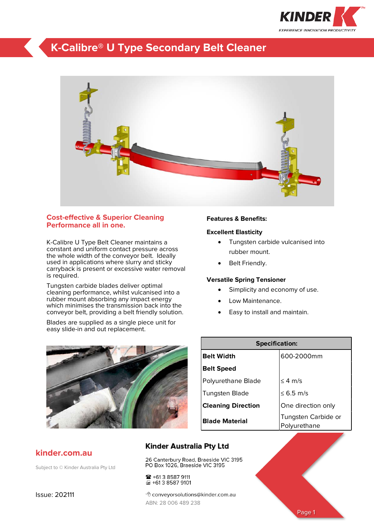

## **K-Calibre® U Type Secondary Belt Cleaner**



### **Cost-effective & Superior Cleaning Performance all in one.**

K-Calibre U Type Belt Cleaner maintains a constant and uniform contact pressure across the whole width of the conveyor belt. Ideally used in applications where slurry and sticky carryback is present or excessive water removal is required.

Tungsten carbide blades deliver optimal cleaning performance, whilst vulcanised into a rubber mount absorbing any impact energy which minimises the transmission back into the conveyor belt, providing a belt friendly solution.

Blades are supplied as a single piece unit for easy slide-in and out replacement.



ABN: 28 006 489 238

☎ +61 3 8587 9111 量+613 8587 9101

#### **Features & Benefits:**

### **Excellent Elasticity**

- Tungsten carbide vulcanised into rubber mount.
- Belt Friendly.

### **Versatile Spring Tensioner**

- Simplicity and economy of use.
- Low Maintenance.
- Easy to install and maintain.

| <b>Specification:</b>     |                                     |  |  |  |
|---------------------------|-------------------------------------|--|--|--|
| <b>Belt Width</b>         | 600-2000mm                          |  |  |  |
| <b>Belt Speed</b>         |                                     |  |  |  |
| Polyurethane Blade        | $<$ 4 m/s                           |  |  |  |
| Tungsten Blade            | ≤ 6.5 m/s                           |  |  |  |
| <b>Cleaning Direction</b> | One direction only                  |  |  |  |
| <b>Blade Material</b>     | Tungsten Carbide or<br>Polyurethane |  |  |  |

# **Kinder Australia Pty Ltd** 26 Canterbury Road, Braeside VIC 3195<br>PO Box 1026, Braeside VIC 3195 <sup></sub><sup>d</sup> conveyorsolutions@kinder.com.au</sup> Page 1

### **kinder.com.au**

Subject to © Kinder Australia Pty Ltd

Issue: 202111